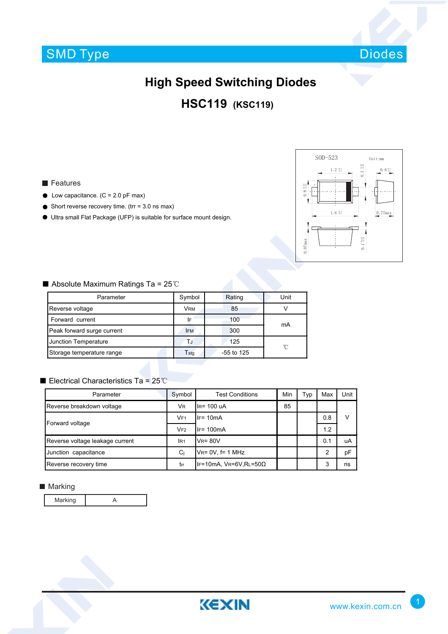# SMD Type



## **High Speed Switching Diodes**

### **HSC119 (KSC119)**

- $\bullet$  Low capacitance. (C = 2.0 pF max)
- $\bullet$  Short reverse recovery time. (trr = 3.0 ns max)
- Ultra small Flat Package (UFP) is suitable for surface mount design.



#### ■ Absolute Maximum Ratings Ta = 25℃

| Parameter                  | Symbol     | Rating       | Unit |  |
|----------------------------|------------|--------------|------|--|
| Reverse voltage            | VRM        | 85           |      |  |
| Forward current            | ١F         | 100          | mA   |  |
| Peak forward surge current | <b>IFM</b> | 300          |      |  |
| Junction Temperature       | ТJ         | 125          | °C   |  |
| Storage temperature range  | Tstq       | $-55$ to 125 |      |  |

#### ■ Electrical Characteristics Ta = 25℃

| Parameter                       | Symbol          | <b>Test Conditions</b>        | Min | Typ | Max | Unit |
|---------------------------------|-----------------|-------------------------------|-----|-----|-----|------|
| Reverse breakdown voltage       | <b>VR</b>       | $IR = 100$ uA                 | 85  |     |     |      |
| Forward voltage                 | VF <sub>1</sub> | $IF = 10mA$                   |     |     | 0.8 | v    |
|                                 | VF2             | $IF = 100mA$                  |     |     | 1.2 |      |
| Reverse voltage leakage current | IR <sub>1</sub> | $V_R = 80V$                   |     |     | 0.1 | uA   |
| Junction capacitance            | Ci              | $V_{R} = 0V$ , f= 1 MHz       |     |     | 2   | pF   |
| Reverse recovery time           | trr             | IF=10mA, $VR=6V, RL=50\Omega$ |     |     | 3   | ns   |

#### **Marking**

Marking | A